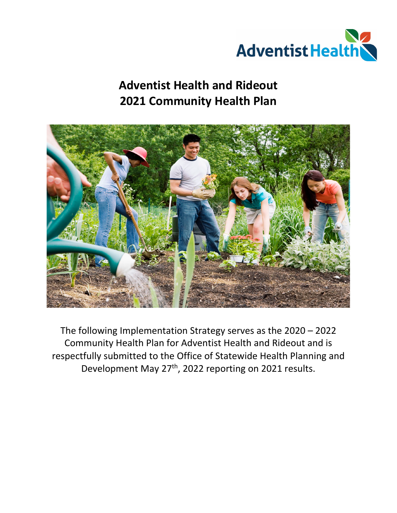

# **Adventist Health and Rideout 2021 Community Health Plan**



The following Implementation Strategy serves as the 2020 – 2022 Community Health Plan for Adventist Health and Rideout and is respectfully submitted to the Office of Statewide Health Planning and Development May 27<sup>th</sup>, 2022 reporting on 2021 results.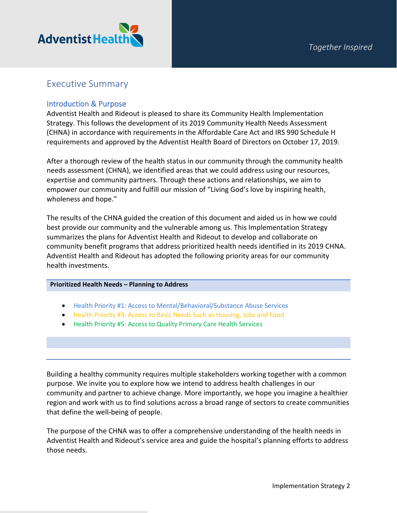

### Executive Summary

### Introduction & Purpose

Adventist Health and Rideout is pleased to share its Community Health Implementation Strategy. This follows the development of its 2019 Community Health Needs Assessment (CHNA) in accordance with requirements in the Affordable Care Act and IRS 990 Schedule H requirements and approved by the Adventist Health Board of Directors on October 17, 2019.

After a thorough review of the health status in our community through the community health needs assessment (CHNA), we identified areas that we could address using our resources, expertise and community partners. Through these actions and relationships, we aim to empower our community and fulfill our mission of "Living God's love by inspiring health, wholeness and hope."

The results of the CHNA guided the creation of this document and aided us in how we could best provide our community and the vulnerable among us. This Implementation Strategy summarizes the plans for Adventist Health and Rideout to develop and collaborate on community benefit programs that address prioritized health needs identified in its 2019 CHNA. Adventist Health and Rideout has adopted the following priority areas for our community health investments.

### **Prioritized Health Needs – Planning to Address**

- Health Priority #1: Access to Mental/Behavioral/Substance Abuse Services
- Health Priority #3: Access to Basic Needs Such as Housing, Jobs and Food
- Health Priority #5: Access to Quality Primary Care Health Services

Building a healthy community requires multiple stakeholders working together with a common purpose. We invite you to explore how we intend to address health challenges in our community and partner to achieve change. More importantly, we hope you imagine a healthier region and work with us to find solutions across a broad range of sectors to create communities that define the well-being of people.

The purpose of the CHNA was to offer a comprehensive understanding of the health needs in Adventist Health and Rideout's service area and guide the hospital's planning efforts to address those needs.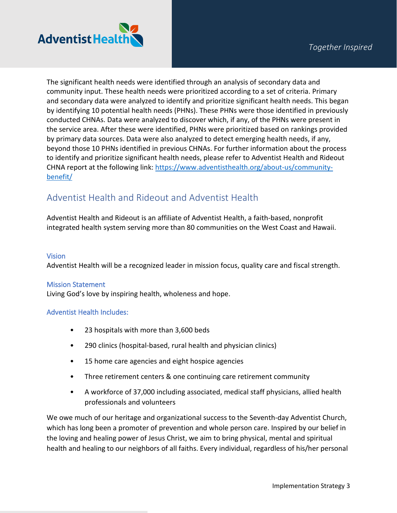

The significant health needs were identified through an analysis of secondary data and community input. These health needs were prioritized according to a set of criteria. Primary and secondary data were analyzed to identify and prioritize significant health needs. This began by identifying 10 potential health needs (PHNs). These PHNs were those identified in previously conducted CHNAs. Data were analyzed to discover which, if any, of the PHNs were present in the service area. After these were identified, PHNs were prioritized based on rankings provided by primary data sources. Data were also analyzed to detect emerging health needs, if any, beyond those 10 PHNs identified in previous CHNAs. For further information about the process to identify and prioritize significant health needs, please refer to Adventist Health and Rideout CHNA report at the following link: [https://www.adventisthealth.org/about-us/community](https://www.adventisthealth.org/about-us/community-benefit/)[benefit/](https://www.adventisthealth.org/about-us/community-benefit/)

# Adventist Health and Rideout and Adventist Health

Adventist Health and Rideout is an affiliate of Adventist Health, a faith-based, nonprofit integrated health system serving more than 80 communities on the West Coast and Hawaii.

### Vision

Adventist Health will be a recognized leader in mission focus, quality care and fiscal strength.

### Mission Statement

Living God's love by inspiring health, wholeness and hope.

### Adventist Health Includes:

- 23 hospitals with more than 3,600 beds
- 290 clinics (hospital-based, rural health and physician clinics)
- 15 home care agencies and eight hospice agencies
- Three retirement centers & one continuing care retirement community
- A workforce of 37,000 including associated, medical staff physicians, allied health professionals and volunteers

We owe much of our heritage and organizational success to the Seventh-day Adventist Church, which has long been a promoter of prevention and whole person care. Inspired by our belief in the loving and healing power of Jesus Christ, we aim to bring physical, mental and spiritual health and healing to our neighbors of all faiths. Every individual, regardless of his/her personal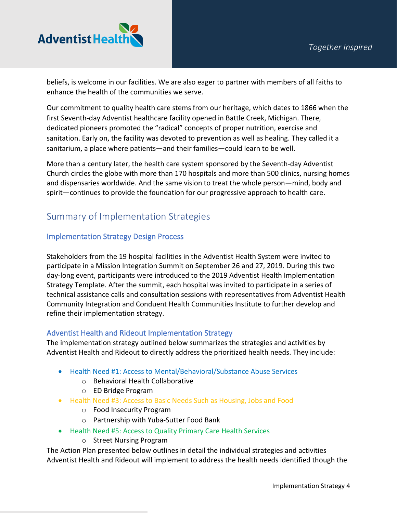

beliefs, is welcome in our facilities. We are also eager to partner with members of all faiths to enhance the health of the communities we serve.

Our commitment to quality health care stems from our heritage, which dates to 1866 when the first Seventh-day Adventist healthcare facility opened in Battle Creek, Michigan. There, dedicated pioneers promoted the "radical" concepts of proper nutrition, exercise and sanitation. Early on, the facility was devoted to prevention as well as healing. They called it a sanitarium, a place where patients—and their families—could learn to be well.

More than a century later, the health care system sponsored by the Seventh-day Adventist Church circles the globe with more than 170 hospitals and more than 500 clinics, nursing homes and dispensaries worldwide. And the same vision to treat the whole person—mind, body and spirit—continues to provide the foundation for our progressive approach to health care.

# Summary of Implementation Strategies

### Implementation Strategy Design Process

Stakeholders from the 19 hospital facilities in the Adventist Health System were invited to participate in a Mission Integration Summit on September 26 and 27, 2019. During this two day-long event, participants were introduced to the 2019 Adventist Health Implementation Strategy Template. After the summit, each hospital was invited to participate in a series of technical assistance calls and consultation sessions with representatives from Adventist Health Community Integration and Conduent Health Communities Institute to further develop and refine their implementation strategy.

### Adventist Health and Rideout Implementation Strategy

The implementation strategy outlined below summarizes the strategies and activities by Adventist Health and Rideout to directly address the prioritized health needs. They include:

- Health Need #1: Access to Mental/Behavioral/Substance Abuse Services
	- o Behavioral Health Collaborative
	- o ED Bridge Program
- Health Need #3: Access to Basic Needs Such as Housing, Jobs and Food
	- o Food Insecurity Program
	- o Partnership with Yuba-Sutter Food Bank
- Health Need #5: Access to Quality Primary Care Health Services
	- o Street Nursing Program

The Action Plan presented below outlines in detail the individual strategies and activities Adventist Health and Rideout will implement to address the health needs identified though the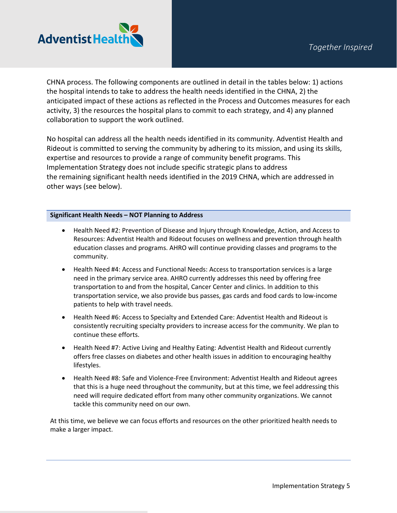

CHNA process. The following components are outlined in detail in the tables below: 1) actions the hospital intends to take to address the health needs identified in the CHNA, 2) the anticipated impact of these actions as reflected in the Process and Outcomes measures for each activity, 3) the resources the hospital plans to commit to each strategy, and 4) any planned collaboration to support the work outlined.

No hospital can address all the health needs identified in its community. Adventist Health and Rideout is committed to serving the community by adhering to its mission, and using its skills, expertise and resources to provide a range of community benefit programs. This Implementation Strategy does not include specific strategic plans to address the remaining significant health needs identified in the 2019 CHNA, which are addressed in other ways (see below).

### **Significant Health Needs – NOT Planning to Address**

- Health Need #2: Prevention of Disease and Injury through Knowledge, Action, and Access to Resources: Adventist Health and Rideout focuses on wellness and prevention through health education classes and programs. AHRO will continue providing classes and programs to the community.
- Health Need #4: Access and Functional Needs: Access to transportation services is a large need in the primary service area. AHRO currently addresses this need by offering free transportation to and from the hospital, Cancer Center and clinics. In addition to this transportation service, we also provide bus passes, gas cards and food cards to low-income patients to help with travel needs.
- Health Need #6: Access to Specialty and Extended Care: Adventist Health and Rideout is consistently recruiting specialty providers to increase access for the community. We plan to continue these efforts.
- Health Need #7: Active Living and Healthy Eating: Adventist Health and Rideout currently offers free classes on diabetes and other health issues in addition to encouraging healthy lifestyles.
- Health Need #8: Safe and Violence-Free Environment: Adventist Health and Rideout agrees that this is a huge need throughout the community, but at this time, we feel addressing this need will require dedicated effort from many other community organizations. We cannot tackle this community need on our own.

At this time, we believe we can focus efforts and resources on the other prioritized health needs to make a larger impact.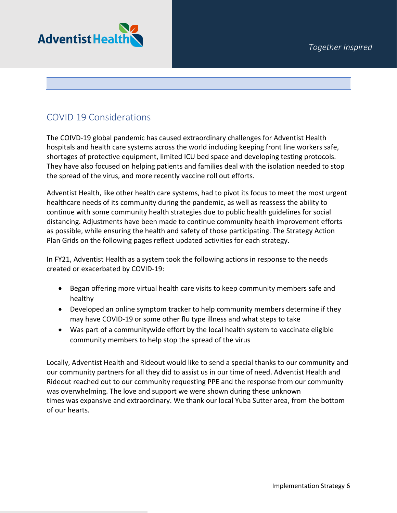

# COVID 19 Considerations

The COIVD-19 global pandemic has caused extraordinary challenges for Adventist Health hospitals and health care systems across the world including keeping front line workers safe, shortages of protective equipment, limited ICU bed space and developing testing protocols. They have also focused on helping patients and families deal with the isolation needed to stop the spread of the virus, and more recently vaccine roll out efforts.

Adventist Health, like other health care systems, had to pivot its focus to meet the most urgent healthcare needs of its community during the pandemic, as well as reassess the ability to continue with some community health strategies due to public health guidelines for social distancing. Adjustments have been made to continue community health improvement efforts as possible, while ensuring the health and safety of those participating. The Strategy Action Plan Grids on the following pages reflect updated activities for each strategy.

In FY21, Adventist Health as a system took the following actions in response to the needs created or exacerbated by COVID-19:

- Began offering more virtual health care visits to keep community members safe and healthy
- Developed an online symptom tracker to help community members determine if they may have COVID-19 or some other flu type illness and what steps to take
- Was part of a communitywide effort by the local health system to vaccinate eligible community members to help stop the spread of the virus

Locally, Adventist Health and Rideout would like to send a special thanks to our community and our community partners for all they did to assist us in our time of need. Adventist Health and Rideout reached out to our community requesting PPE and the response from our community was overwhelming. The love and support we were shown during these unknown times was expansive and extraordinary. We thank our local Yuba Sutter area, from the bottom of our hearts.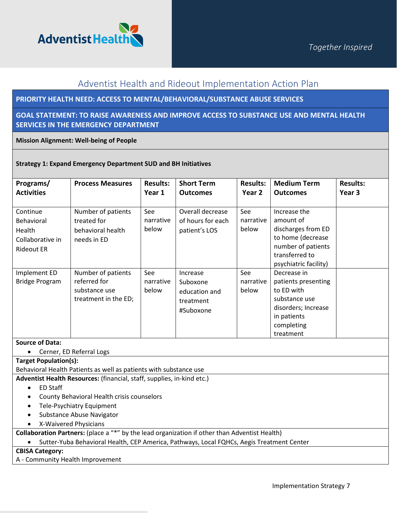

## Adventist Health and Rideout Implementation Action Plan

### **PRIORITY HEALTH NEED: ACCESS TO MENTAL/BEHAVIORAL/SUBSTANCE ABUSE SERVICES**

**GOAL STATEMENT: TO RAISE AWARENESS AND IMPROVE ACCESS TO SUBSTANCE USE AND MENTAL HEALTH SERVICES IN THE EMERGENCY DEPARTMENT**

### **Mission Alignment: Well-being of People**

### **Strategy 1: Expand Emergency Department SUD and BH Initiatives**

| Programs/<br><b>Activities</b>                                            | <b>Process Measures</b>                                                     | <b>Results:</b><br>Year 1 | <b>Short Term</b><br><b>Outcomes</b>                            | <b>Results:</b><br>Year 2 | <b>Medium Term</b><br><b>Outcomes</b>                                                                                                 | <b>Results:</b><br>Year 3 |
|---------------------------------------------------------------------------|-----------------------------------------------------------------------------|---------------------------|-----------------------------------------------------------------|---------------------------|---------------------------------------------------------------------------------------------------------------------------------------|---------------------------|
| Continue<br>Behavioral<br>Health<br>Collaborative in<br><b>Rideout ER</b> | Number of patients<br>treated for<br>behavioral health<br>needs in ED       | See<br>narrative<br>below | Overall decrease<br>of hours for each<br>patient's LOS          | See<br>narrative<br>below | Increase the<br>amount of<br>discharges from ED<br>to home (decrease<br>number of patients<br>transferred to<br>psychiatric facility) |                           |
| Implement ED<br><b>Bridge Program</b>                                     | Number of patients<br>referred for<br>substance use<br>treatment in the ED; | See<br>narrative<br>below | Increase<br>Suboxone<br>education and<br>treatment<br>#Suboxone | See<br>narrative<br>below | Decrease in<br>patients presenting<br>to ED with<br>substance use<br>disorders; Increase<br>in patients<br>completing<br>treatment    |                           |

#### **Source of Data:**

• Cerner, ED Referral Logs

### **Target Population(s):**

Behavioral Health Patients as well as patients with substance use

**Adventist Health Resources:** (financial, staff, supplies, in-kind etc.)

- ED Staff
- County Behavioral Health crisis counselors
- Tele-Psychiatry Equipment
- Substance Abuse Navigator
- X-Waivered Physicians

**Collaboration Partners:** (place a "\*" by the lead organization if other than Adventist Health)

• Sutter-Yuba Behavioral Health, CEP America, Pathways, Local FQHCs, Aegis Treatment Center

### **CBISA Category:**

A - Community Health Improvement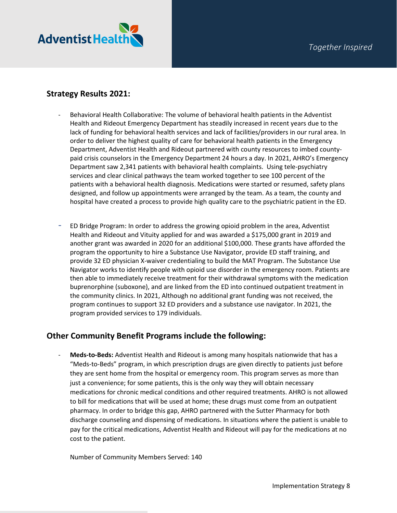

### **Strategy Results 2021:**

- Behavioral Health Collaborative: The volume of behavioral health patients in the Adventist Health and Rideout Emergency Department has steadily increased in recent years due to the lack of funding for behavioral health services and lack of facilities/providers in our rural area. In order to deliver the highest quality of care for behavioral health patients in the Emergency Department, Adventist Health and Rideout partnered with county resources to imbed countypaid crisis counselors in the Emergency Department 24 hours a day. In 2021, AHRO's Emergency Department saw 2,341 patients with behavioral health complaints. Using tele-psychiatry services and clear clinical pathways the team worked together to see 100 percent of the patients with a behavioral health diagnosis. Medications were started or resumed, safety plans designed, and follow up appointments were arranged by the team. As a team, the county and hospital have created a process to provide high quality care to the psychiatric patient in the ED.
- ED Bridge Program: In order to address the growing opioid problem in the area, Adventist Health and Rideout and Vituity applied for and was awarded a \$175,000 grant in 2019 and another grant was awarded in 2020 for an additional \$100,000. These grants have afforded the program the opportunity to hire a Substance Use Navigator, provide ED staff training, and provide 32 ED physician X-waiver credentialing to build the MAT Program. The Substance Use Navigator works to identify people with opioid use disorder in the emergency room. Patients are then able to immediately receive treatment for their withdrawal symptoms with the medication buprenorphine (suboxone), and are linked from the ED into continued outpatient treatment in the community clinics. In 2021, Although no additional grant funding was not received, the program continues to support 32 ED providers and a substance use navigator. In 2021, the program provided services to 179 individuals.

### **Other Community Benefit Programs include the following:**

- **Meds-to-Beds:** Adventist Health and Rideout is among many hospitals nationwide that has a "Meds-to-Beds" program, in which prescription drugs are given directly to patients just before they are sent home from the hospital or emergency room. This program serves as more than just a convenience; for some patients, this is the only way they will obtain necessary medications for chronic medical conditions and other required treatments. AHRO is not allowed to bill for medications that will be used at home; these drugs must come from an outpatient pharmacy. In order to bridge this gap, AHRO partnered with the Sutter Pharmacy for both discharge counseling and dispensing of medications. In situations where the patient is unable to pay for the critical medications, Adventist Health and Rideout will pay for the medications at no cost to the patient.

Number of Community Members Served: 140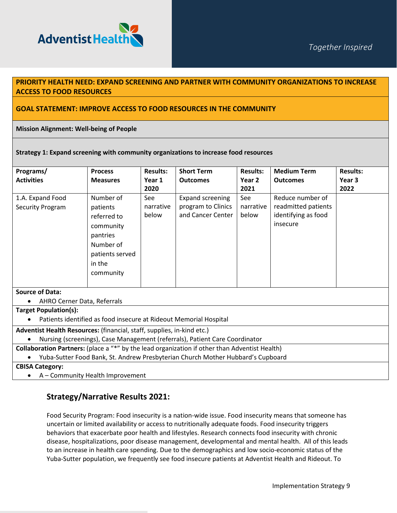

### **PRIORITY HEALTH NEED: EXPAND SCREENING AND PARTNER WITH COMMUNITY ORGANIZATIONS TO INCREASE ACCESS TO FOOD RESOURCES**

### **GOAL STATEMENT: IMPROVE ACCESS TO FOOD RESOURCES IN THE COMMUNITY**

#### **Mission Alignment: Well-being of People**

#### **Strategy 1: Expand screening with community organizations to increase food resources**

| Programs/                                                                                     | <b>Process</b>  | <b>Results:</b> | <b>Short Term</b>  | <b>Results:</b> | <b>Medium Term</b>  | <b>Results:</b> |  |
|-----------------------------------------------------------------------------------------------|-----------------|-----------------|--------------------|-----------------|---------------------|-----------------|--|
| <b>Activities</b>                                                                             | <b>Measures</b> | Year 1          | <b>Outcomes</b>    | Year 2          | <b>Outcomes</b>     | Year 3          |  |
|                                                                                               |                 | 2020            |                    | 2021            |                     | 2022            |  |
| 1.A. Expand Food                                                                              | Number of       | See             | Expand screening   | See             | Reduce number of    |                 |  |
| Security Program                                                                              | patients        | narrative       | program to Clinics | narrative       | readmitted patients |                 |  |
|                                                                                               | referred to     | below           | and Cancer Center  | below           | identifying as food |                 |  |
|                                                                                               | community       |                 |                    |                 | insecure            |                 |  |
|                                                                                               | pantries        |                 |                    |                 |                     |                 |  |
|                                                                                               | Number of       |                 |                    |                 |                     |                 |  |
|                                                                                               | patients served |                 |                    |                 |                     |                 |  |
|                                                                                               | in the          |                 |                    |                 |                     |                 |  |
|                                                                                               | community       |                 |                    |                 |                     |                 |  |
|                                                                                               |                 |                 |                    |                 |                     |                 |  |
| <b>Source of Data:</b>                                                                        |                 |                 |                    |                 |                     |                 |  |
| AHRO Cerner Data, Referrals<br>$\bullet$                                                      |                 |                 |                    |                 |                     |                 |  |
| Target Population(s):                                                                         |                 |                 |                    |                 |                     |                 |  |
| Patients identified as food insecure at Rideout Memorial Hospital                             |                 |                 |                    |                 |                     |                 |  |
| Adventist Health Resources: (financial, staff, supplies, in-kind etc.)                        |                 |                 |                    |                 |                     |                 |  |
| Nursing (screenings), Case Management (referrals), Patient Care Coordinator                   |                 |                 |                    |                 |                     |                 |  |
| Collaboration Partners: (place a "*" by the lead organization if other than Adventist Health) |                 |                 |                    |                 |                     |                 |  |

• Yuba-Sutter Food Bank, St. Andrew Presbyterian Church Mother Hubbard's Cupboard

**CBISA Category:** 

• A – Community Health Improvement

### **Strategy/Narrative Results 2021:**

Food Security Program: Food insecurity is a nation-wide issue. Food insecurity means that someone has uncertain or limited availability or access to nutritionally adequate foods. Food insecurity triggers behaviors that exacerbate poor health and lifestyles. Research connects food insecurity with chronic disease, hospitalizations, poor disease management, developmental and mental health. All of this leads to an increase in health care spending. Due to the demographics and low socio-economic status of the Yuba-Sutter population, we frequently see food insecure patients at Adventist Health and Rideout. To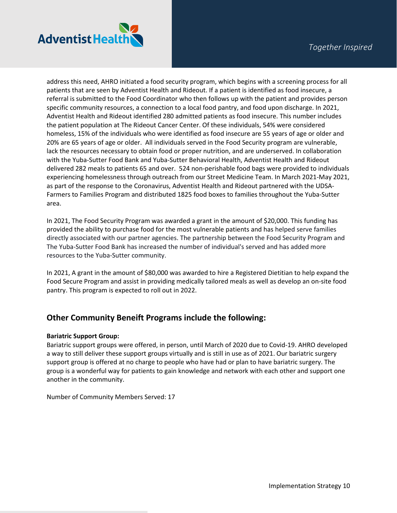

address this need, AHRO initiated a food security program, which begins with a screening process for all patients that are seen by Adventist Health and Rideout. If a patient is identified as food insecure, a referral is submitted to the Food Coordinator who then follows up with the patient and provides person specific community resources, a connection to a local food pantry, and food upon discharge. In 2021, Adventist Health and Rideout identified 280 admitted patients as food insecure. This number includes the patient population at The Rideout Cancer Center. Of these individuals, 54% were considered homeless, 15% of the individuals who were identified as food insecure are 55 years of age or older and 20% are 65 years of age or older. All individuals served in the Food Security program are vulnerable, lack the resources necessary to obtain food or proper nutrition, and are underserved. In collaboration with the Yuba-Sutter Food Bank and Yuba-Sutter Behavioral Health, Adventist Health and Rideout delivered 282 meals to patients 65 and over. 524 non-perishable food bags were provided to individuals experiencing homelessness through outreach from our Street Medicine Team. In March 2021-May 2021, as part of the response to the Coronavirus, Adventist Health and Rideout partnered with the UDSA-Farmers to Families Program and distributed 1825 food boxes to families throughout the Yuba-Sutter area.

In 2021, The Food Security Program was awarded a grant in the amount of \$20,000. This funding has provided the ability to purchase food for the most vulnerable patients and has helped serve families directly associated with our partner agencies. The partnership between the Food Security Program and The Yuba-Sutter Food Bank has increased the number of individual's served and has added more resources to the Yuba-Sutter community.

In 2021, A grant in the amount of \$80,000 was awarded to hire a Registered Dietitian to help expand the Food Secure Program and assist in providing medically tailored meals as well as develop an on-site food pantry. This program is expected to roll out in 2022.

### **Other Community Beneift Programs include the following:**

### **Bariatric Support Group:**

Bariatric support groups were offered, in person, until March of 2020 due to Covid-19. AHRO developed a way to still deliver these support groups virtually and is still in use as of 2021. Our bariatric surgery support group is offered at no charge to people who have had or plan to have bariatric surgery. The group is a wonderful way for patients to gain knowledge and network with each other and support one another in the community.

Number of Community Members Served: 17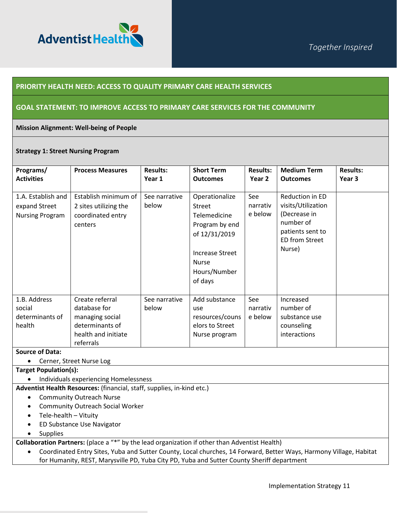

### **PRIORITY HEALTH NEED: ACCESS TO QUALITY PRIMARY CARE HEALTH SERVICES**

### **GOAL STATEMENT: TO IMPROVE ACCESS TO PRIMARY CARE SERVICES FOR THE COMMUNITY**

#### **Mission Alignment: Well-being of People**

#### **Strategy 1: Street Nursing Program**

| Programs/<br><b>Activities</b>                                | <b>Process Measures</b>                                                                                   | <b>Results:</b><br>Year 1 | <b>Short Term</b><br><b>Outcomes</b>                                                                                                                    | <b>Results:</b><br>Year 2  | <b>Medium Term</b><br><b>Outcomes</b>                                                                              | <b>Results:</b><br>Year 3 |
|---------------------------------------------------------------|-----------------------------------------------------------------------------------------------------------|---------------------------|---------------------------------------------------------------------------------------------------------------------------------------------------------|----------------------------|--------------------------------------------------------------------------------------------------------------------|---------------------------|
| 1.A. Establish and<br>expand Street<br><b>Nursing Program</b> | Establish minimum of<br>2 sites utilizing the<br>coordinated entry<br>centers                             | See narrative<br>below    | Operationalize<br><b>Street</b><br>Telemedicine<br>Program by end<br>of 12/31/2019<br><b>Increase Street</b><br><b>Nurse</b><br>Hours/Number<br>of days | See<br>narrativ<br>e below | Reduction in ED<br>visits/Utilization<br>(Decrease in<br>number of<br>patients sent to<br>ED from Street<br>Nurse) |                           |
| 1.B. Address<br>social<br>determinants of<br>health           | Create referral<br>database for<br>managing social<br>determinants of<br>health and initiate<br>referrals | See narrative<br>below    | Add substance<br>use<br>resources/couns<br>elors to Street<br>Nurse program                                                                             | See<br>narrativ<br>e below | Increased<br>number of<br>substance use<br>counseling<br>interactions                                              |                           |

#### **Source of Data:**

• Cerner, Street Nurse Log

**Target Population(s):**

• Individuals experiencing Homelessness

**Adventist Health Resources:** (financial, staff, supplies, in-kind etc.)

- Community Outreach Nurse
- Community Outreach Social Worker
- Tele-health Vituity
- ED Substance Use Navigator
- Supplies

**Collaboration Partners:** (place a "\*" by the lead organization if other than Adventist Health)

• Coordinated Entry Sites, Yuba and Sutter County, Local churches, 14 Forward, Better Ways, Harmony Village, Habitat for Humanity, REST, Marysville PD, Yuba City PD, Yuba and Sutter County Sheriff department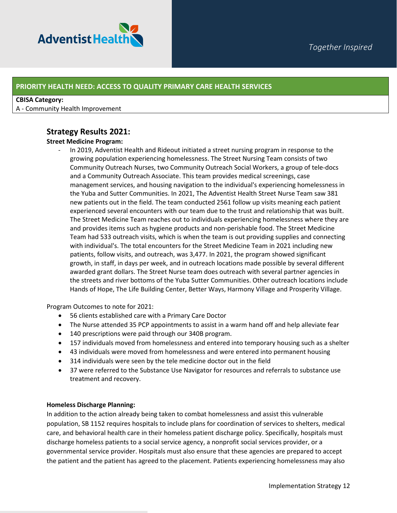

### **PRIORITY HEALTH NEED: ACCESS TO QUALITY PRIMARY CARE HEALTH SERVICES**

#### **CBISA Category:**

A - Community Health Improvement

### **Strategy Results 2021:**

### **Street Medicine Program:**

In 2019, Adventist Health and Rideout initiated a street nursing program in response to the growing population experiencing homelessness. The Street Nursing Team consists of two Community Outreach Nurses, two Community Outreach Social Workers, a group of tele-docs and a Community Outreach Associate. This team provides medical screenings, case management services, and housing navigation to the individual's experiencing homelessness in the Yuba and Sutter Communities. In 2021, The Adventist Health Street Nurse Team saw 381 new patients out in the field. The team conducted 2561 follow up visits meaning each patient experienced several encounters with our team due to the trust and relationship that was built. The Street Medicine Team reaches out to individuals experiencing homelessness where they are and provides items such as hygiene products and non-perishable food. The Street Medicine Team had 533 outreach visits, which is when the team is out providing supplies and connecting with individual's. The total encounters for the Street Medicine Team in 2021 including new patients, follow visits, and outreach, was 3,477. In 2021, the program showed significant growth, in staff, in days per week, and in outreach locations made possible by several different awarded grant dollars. The Street Nurse team does outreach with several partner agencies in the streets and river bottoms of the Yuba Sutter Communities. Other outreach locations include Hands of Hope, The Life Building Center, Better Ways, Harmony Village and Prosperity Village.

Program Outcomes to note for 2021:

- 56 clients established care with a Primary Care Doctor
- The Nurse attended 35 PCP appointments to assist in a warm hand off and help alleviate fear
- 140 prescriptions were paid through our 340B program.
- 157 individuals moved from homelessness and entered into temporary housing such as a shelter
- 43 individuals were moved from homelessness and were entered into permanent housing
- 314 individuals were seen by the tele medicine doctor out in the field
- 37 were referred to the Substance Use Navigator for resources and referrals to substance use treatment and recovery.

### **Homeless Discharge Planning:**

In addition to the action already being taken to combat homelessness and assist this vulnerable population, SB 1152 requires hospitals to include plans for coordination of services to shelters, medical care, and behavioral health care in their homeless patient discharge policy. Specifically, hospitals must discharge homeless patients to a social service agency, a nonprofit social services provider, or a governmental service provider. Hospitals must also ensure that these agencies are prepared to accept the patient and the patient has agreed to the placement. Patients experiencing homelessness may also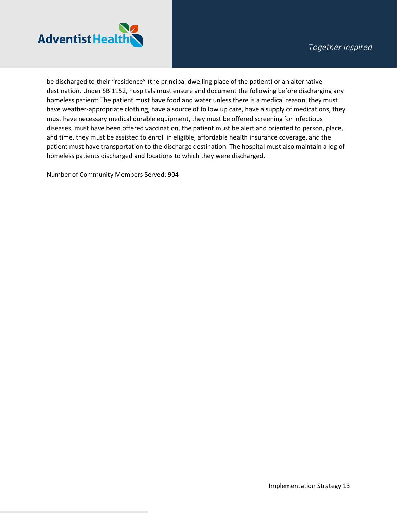

be discharged to their "residence" (the principal dwelling place of the patient) or an alternative destination. Under SB 1152, hospitals must ensure and document the following before discharging any homeless patient: The patient must have food and water unless there is a medical reason, they must have weather-appropriate clothing, have a source of follow up care, have a supply of medications, they must have necessary medical durable equipment, they must be offered screening for infectious diseases, must have been offered vaccination, the patient must be alert and oriented to person, place, and time, they must be assisted to enroll in eligible, affordable health insurance coverage, and the patient must have transportation to the discharge destination. The hospital must also maintain a log of homeless patients discharged and locations to which they were discharged.

Number of Community Members Served: 904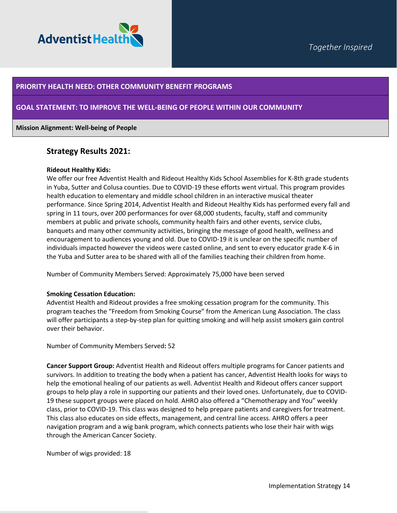

### **PRIORITY HEALTH NEED: OTHER COMMUNITY BENEFIT PROGRAMS**

### **GOAL STATEMENT: TO IMPROVE THE WELL-BEING OF PEOPLE WITHIN OUR COMMUNITY**

#### **Mission Alignment: Well-being of People**

### **Strategy Results 2021:**

#### **Rideout Healthy Kids:**

We offer our free Adventist Health and Rideout Healthy Kids School Assemblies for K-8th grade students in Yuba, Sutter and Colusa counties. Due to COVID-19 these efforts went virtual. This program provides health education to elementary and middle school children in an interactive musical theater performance. Since Spring 2014, Adventist Health and Rideout Healthy Kids has performed every fall and spring in 11 tours, over 200 performances for over 68,000 students, faculty, staff and community members at public and private schools, community health fairs and other events, service clubs, banquets and many other community activities, bringing the message of good health, wellness and encouragement to audiences young and old. Due to COVID-19 it is unclear on the specific number of individuals impacted however the videos were casted online, and sent to every educator grade K-6 in the Yuba and Sutter area to be shared with all of the families teaching their children from home.

Number of Community Members Served: Approximately 75,000 have been served

#### **Smoking Cessation Education:**

Adventist Health and Rideout provides a free smoking cessation program for the community. This program teaches the "Freedom from Smoking Course" from the American Lung Association. The class will offer participants a step-by-step plan for quitting smoking and will help assist smokers gain control over their behavior.

Number of Community Members Served**:** 52

**Cancer Support Group:** Adventist Health and Rideout offers multiple programs for Cancer patients and survivors. In addition to treating the body when a patient has cancer, Adventist Health looks for ways to help the emotional healing of our patients as well. Adventist Health and Rideout offers cancer support groups to help play a role in supporting our patients and their loved ones. Unfortunately, due to COVID-19 these support groups were placed on hold. AHRO also offered a "Chemotherapy and You" weekly class, prior to COVID-19. This class was designed to help prepare patients and caregivers for treatment. This class also educates on side effects, management, and central line access. AHRO offers a peer navigation program and a wig bank program, which connects patients who lose their hair with wigs through the American Cancer Society.

Number of wigs provided: 18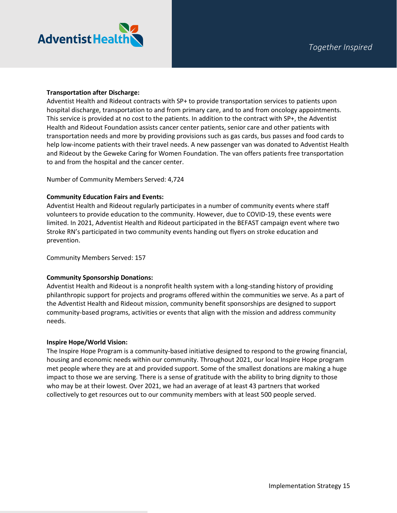

### **Transportation after Discharge:**

Adventist Health and Rideout contracts with SP+ to provide transportation services to patients upon hospital discharge, transportation to and from primary care, and to and from oncology appointments. This service is provided at no cost to the patients. In addition to the contract with SP+, the Adventist Health and Rideout Foundation assists cancer center patients, senior care and other patients with transportation needs and more by providing provisions such as gas cards, bus passes and food cards to help low-income patients with their travel needs. A new passenger van was donated to Adventist Health and Rideout by the Geweke Caring for Women Foundation. The van offers patients free transportation to and from the hospital and the cancer center.

Number of Community Members Served: 4,724

### **Community Education Fairs and Events:**

Adventist Health and Rideout regularly participates in a number of community events where staff volunteers to provide education to the community. However, due to COVID-19, these events were limited. In 2021, Adventist Health and Rideout participated in the BEFAST campaign event where two Stroke RN's participated in two community events handing out flyers on stroke education and prevention.

Community Members Served: 157

### **Community Sponsorship Donations:**

Adventist Health and Rideout is a nonprofit health system with a long-standing history of providing philanthropic support for projects and programs offered within the communities we serve. As a part of the Adventist Health and Rideout mission, community benefit sponsorships are designed to support community-based programs, activities or events that align with the mission and address community needs.

#### **Inspire Hope/World Vision:**

The Inspire Hope Program is a community-based initiative designed to respond to the growing financial, housing and economic needs within our community. Throughout 2021, our local Inspire Hope program met people where they are at and provided support. Some of the smallest donations are making a huge impact to those we are serving. There is a sense of gratitude with the ability to bring dignity to those who may be at their lowest. Over 2021, we had an average of at least 43 partners that worked collectively to get resources out to our community members with at least 500 people served.